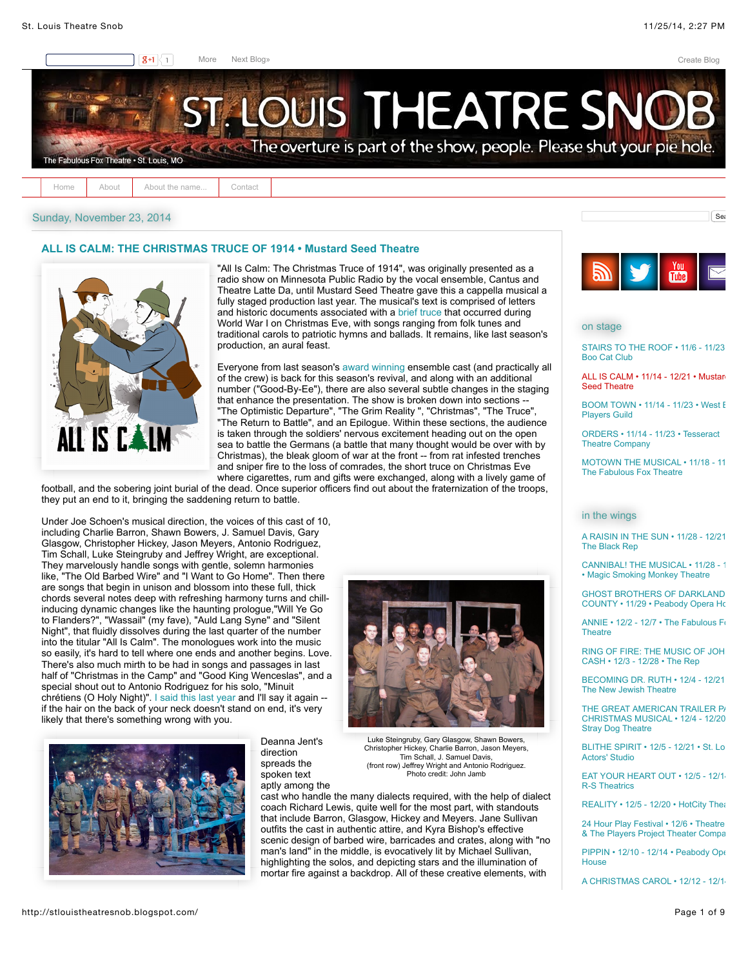$\sqrt{\phantom{a}}$ Sea



[Home](http://stlouistheatresnob.blogspot.com/) [About](http://stlouistheatresnob.blogspot.com/p/about_4603.html) [About the name...](http://stlouistheatresnob.blogspot.com/p/about-thr-name.html) [Contact](http://stlouistheatresnob.blogspot.com/p/contact.html)

# Sunday, November 23, 2014

# **[ALL IS CALM: THE CHRISTMAS TRUCE OF 1914 • Mustard Seed Theatre](http://stlouistheatresnob.blogspot.com/2014/11/all-is-calm-christmas-truce-of-1914.html)**



"All Is Calm: The Christmas Truce of 1914", was originally presented as a radio show on Minnesota Public Radio by the vocal ensemble, Cantus and Theatre Latte Da, until Mustard Seed Theatre gave this a cappella musical a fully staged production last year. The musical's text is comprised of letters and historic documents associated with a [brief truce](http://en.wikipedia.org/wiki/Christmas_truce) that occurred during World War I on Christmas Eve, with songs ranging from folk tunes and traditional carols to patriotic hymns and ballads. It remains, like last season's production, an aural feast.

Everyone from last season's [award winning](http://stlouistheatresnob.blogspot.com/2014/03/second-annual-st-louis-theater-circle.html) ensemble cast (and practically all of the crew) is back for this season's revival, and along with an additional number ("Good-By-Ee"), there are also several subtle changes in the staging that enhance the presentation. The show is broken down into sections -- "The Optimistic Departure", "The Grim Reality ", "Christmas", "The Truce", "The Return to Battle", and an Epilogue. Within these sections, the audience is taken through the soldiers' nervous excitement heading out on the open sea to battle the Germans (a battle that many thought would be over with by Christmas), the bleak gloom of war at the front -- from rat infested trenches and sniper fire to the loss of comrades, the short truce on Christmas Eve where cigarettes, rum and gifts were exchanged, along with a lively game of

football, and the sobering joint burial of the dead. Once superior officers find out about the fraternization of the troops, they put an end to it, bringing the saddening return to battle.

Under Joe Schoen's musical direction, the voices of this cast of 10, including Charlie Barron, Shawn Bowers, J. Samuel Davis, Gary Glasgow, Christopher Hickey, Jason Meyers, Antonio Rodriguez, Tim Schall, Luke Steingruby and Jeffrey Wright, are exceptional. They marvelously handle songs with gentle, solemn harmonies like, "The Old Barbed Wire" and "I Want to Go Home". Then there are songs that begin in unison and blossom into these full, thick chords several notes deep with refreshing harmony turns and chillinducing dynamic changes like the haunting prologue,"Will Ye Go to Flanders?", "Wassail" (my fave), "Auld Lang Syne" and "Silent Night", that fluidly dissolves during the last quarter of the number into the titular "All Is Calm". The monologues work into the music so easily, it's hard to tell where one ends and another begins. Love. There's also much mirth to be had in songs and passages in last half of "Christmas in the Camp" and "Good King Wenceslas", and a special shout out to Antonio Rodriguez for his solo, "Minuit chrétiens (O Holy Night)". [I said this last year](http://stlouistheatresnob.blogspot.com/2013/11/all-is-calm-christmas-truce-of-1914.html) and I'll say it again - if the hair on the back of your neck doesn't stand on end, it's very likely that there's something wrong with you.



Deanna Jent's direction spreads the spoken text aptly among the



Luke Steingruby, Gary Glasgow, Shawn Bowers, Christopher Hickey, Charlie Barron, Jason Meyers, Tim Schall, J. Samuel Davis, (front row) Jeffrey Wright and Antonio Rodriguez. Photo credit: John Jamb

cast who handle the many dialects required, with the help of dialect coach Richard Lewis, quite well for the most part, with standouts that include Barron, Glasgow, Hickey and Meyers. Jane Sullivan outfits the cast in authentic attire, and Kyra Bishop's effective scenic design of barbed wire, barricades and crates, along with "no man's land" in the middle, is evocatively lit by Michael Sullivan, highlighting the solos, and depicting stars and the illumination of mortar fire against a backdrop. All of these creative elements, with



on stage

STAIRS TO THE ROOF • 11/6 - 11/23 Boo Cat Club

[ALL IS CALM • 11/14 - 12/21 • Mustard](http://www.mustardseedtheatre.com/index.php/productions/2014-2015/all-is-calm) Seed Theatre

BOOM TOWN  $\cdot$  11/14 - 11/23  $\cdot$  West E Players Guild

[ORDERS • 11/14 - 11/23 • Tesseract](http://www.tesseracttheatre.org/home.html#!orders/c6fp) Theatre Company

[MOTOWN THE MUSICAL • 11/18 - 11](http://www.fabulousfox.com/shows_page_multi.aspx?usID=424) The Fabulous Fox Theatre

### in the wings

[A RAISIN IN THE SUN • 11/28 - 12/21](http://www.theblackrep.org/) • The Black Rep

[CANNIBAL! THE MUSICAL • 11/28 - 1](http://www.brownpapertickets.com/event/896815) • Magic Smoking Monkey Theatre

GHOST BROTHERS OF DARKLAND [COUNTY • 11/29 • Peabody Opera Ho](http://www.peabodyoperahouse.com/events/detail/ghost-brothers-of-darkland-county)use

ANNIE  $\cdot$  12/2 - 12/7  $\cdot$  The Fabulous Fox **Theatre** 

RING OF FIRE: THE MUSIC OF JOH CASH • 12/3 - 12/28 • The Rep

[BECOMING DR. RUTH • 12/4 - 12/21](http://www.newjewishtheatre.org/productions/becoming_dr._ruth) • The New Jewish Theatre

THE GREAT AMERICAN TRAILER P/ CHRISTMAS MUSICAL • 12/4 - 12/20 • Stray Dog Theatre

BLITHE SPIRIT • 12/5 - 12/21 • St. Lo Actors' Studio

**[EAT YOUR HEART OUT • 12/5 - 12/14](http://www.r-stheatrics.com/2014-season-auditions/)** R-S Theatrics

 $REAI$  ITY  $\cdot$  12/5 - 12/20  $\cdot$  HotCity Theatre

24 Hour Play Festival • 12/6 • Theatre & The Players Project Theater Compa

[PIPPIN • 12/10 - 12/14 • Peabody Ope](http://www.peabodyoperahouse.com/events/detail/pippin) **House** 

[A CHRISTMAS CAROL • 12/12 - 12/14](http://www.fabulousfox.com/shows_page_multi.aspx?usID=439) •